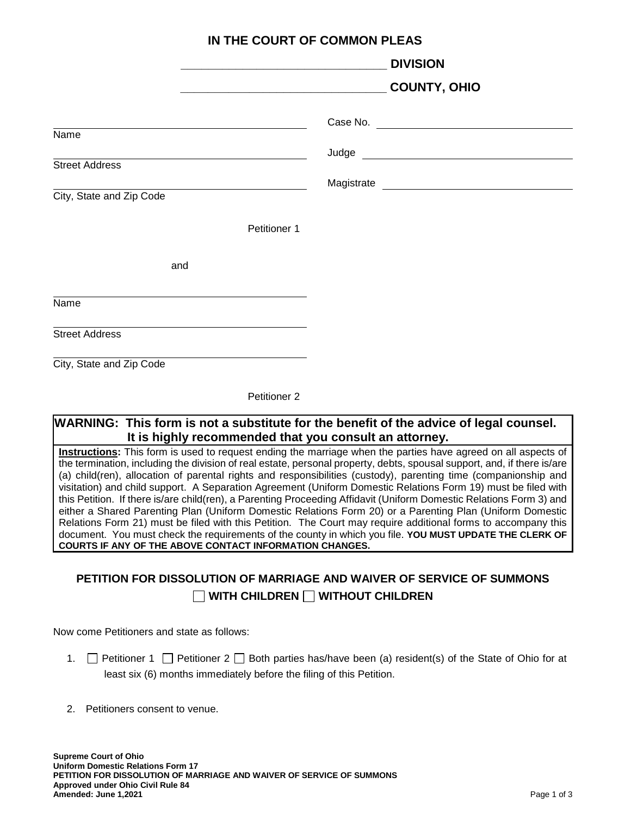| IN THE COURT OF COMMON PLEAS                                                                                         |                     |
|----------------------------------------------------------------------------------------------------------------------|---------------------|
| <u> 1989 - Johann John Stone, mars et al. (b. 1989)</u>                                                              | <b>DIVISION</b>     |
|                                                                                                                      | <b>COUNTY, OHIO</b> |
| <u> 1980 - Johann Barn, mars ann an t-Amhain Aonaich an t-Aonaich an t-Aonaich ann an t-Aonaich ann an t-Aonaich</u> |                     |
| Name                                                                                                                 |                     |
| <b>Street Address</b>                                                                                                |                     |
| City, State and Zip Code                                                                                             |                     |
| Petitioner 1                                                                                                         |                     |
| and                                                                                                                  |                     |
| Name                                                                                                                 |                     |
| <b>Street Address</b>                                                                                                |                     |
| City, State and Zip Code                                                                                             |                     |

Petitioner 2

## **WARNING: This form is not a substitute for the benefit of the advice of legal counsel. It is highly recommended that you consult an attorney.**

**Instructions:** This form is used to request ending the marriage when the parties have agreed on all aspects of the termination, including the division of real estate, personal property, debts, spousal support, and, if there is/are (a) child(ren), allocation of parental rights and responsibilities (custody), parenting time (companionship and visitation) and child support. A Separation Agreement (Uniform Domestic Relations Form 19) must be filed with this Petition. If there is/are child(ren), a Parenting Proceeding Affidavit (Uniform Domestic Relations Form 3) and either a Shared Parenting Plan (Uniform Domestic Relations Form 20) or a Parenting Plan (Uniform Domestic Relations Form 21) must be filed with this Petition. The Court may require additional forms to accompany this document. You must check the requirements of the county in which you file. **YOU MUST UPDATE THE CLERK OF COURTS IF ANY OF THE ABOVE CONTACT INFORMATION CHANGES.**

## **PETITION FOR DISSOLUTION OF MARRIAGE AND WAIVER OF SERVICE OF SUMMONS WITH CHILDREN WITHOUT CHILDREN**

Now come Petitioners and state as follows:

- 1.  $\Box$  Petitioner 1  $\Box$  Petitioner 2  $\Box$  Both parties has/have been (a) resident(s) of the State of Ohio for at least six (6) months immediately before the filing of this Petition.
- 2. Petitioners consent to venue.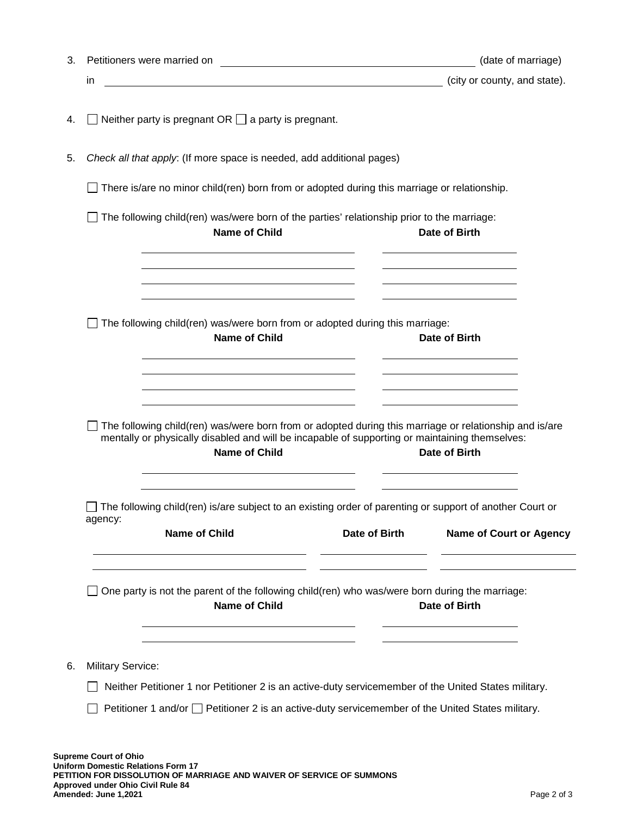| 3. |                                                                                                                                                                                                                                                                                                 | (date of marriage)                                                                   |
|----|-------------------------------------------------------------------------------------------------------------------------------------------------------------------------------------------------------------------------------------------------------------------------------------------------|--------------------------------------------------------------------------------------|
|    | <u> 1980 - Johann Barn, mars ann an t-Amhain Aonaich an t-Aonaich an t-Aonaich ann an t-Aonaich ann an t-Aonaich</u><br>in                                                                                                                                                                      | (city or county, and state).                                                         |
| 4. | Neither party is pregnant $OR \square$ a party is pregnant.                                                                                                                                                                                                                                     |                                                                                      |
| 5. | Check all that apply: (If more space is needed, add additional pages)                                                                                                                                                                                                                           |                                                                                      |
|    | There is/are no minor child(ren) born from or adopted during this marriage or relationship.                                                                                                                                                                                                     |                                                                                      |
|    | The following child(ren) was/were born of the parties' relationship prior to the marriage:<br><b>Name of Child</b>                                                                                                                                                                              | Date of Birth<br>the contract of the contract of the contract of the contract of the |
|    | The following child(ren) was/were born from or adopted during this marriage:<br><b>Name of Child</b><br><u> 1989 - Johann Barn, amerikansk politiker (d. 1989)</u><br><u> 1989 - Johann Barn, mars and de Branch Barn, mars and de Branch Barn, mars and de Branch Barn, mars and de Br</u>     | Date of Birth                                                                        |
|    | <u> 1989 - Johann Stoff, Amerikaansk politiker († 1908)</u><br>The following child(ren) was/were born from or adopted during this marriage or relationship and is/are<br>mentally or physically disabled and will be incapable of supporting or maintaining themselves:<br><b>Name of Child</b> | Date of Birth                                                                        |
|    | The following child(ren) is/are subject to an existing order of parenting or support of another Court or<br>agency:<br><b>Name of Child</b><br>Date of Birth                                                                                                                                    | <b>Name of Court or Agency</b>                                                       |
|    | One party is not the parent of the following child(ren) who was/were born during the marriage:<br><b>Name of Child</b>                                                                                                                                                                          | Date of Birth                                                                        |
| 6. | <b>Military Service:</b><br>Neither Petitioner 1 nor Petitioner 2 is an active-duty servicemember of the United States military.<br>Petitioner 1 and/or $\Box$ Petitioner 2 is an active-duty servicemember of the United States military.                                                      |                                                                                      |
|    |                                                                                                                                                                                                                                                                                                 |                                                                                      |